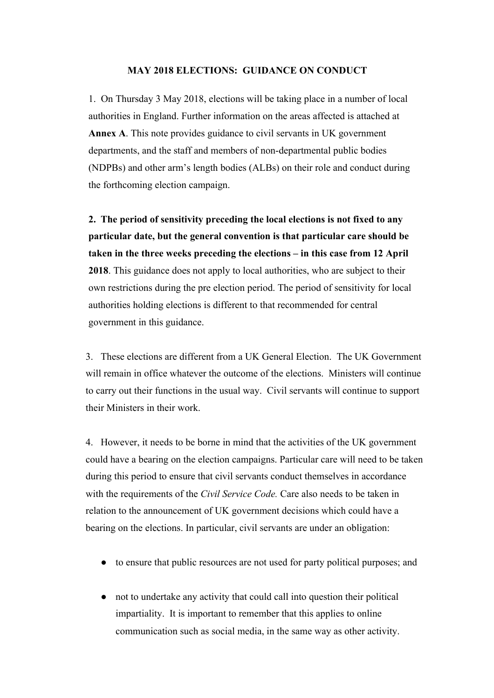#### **MAY 2018 ELECTIONS: GUIDANCE ON CONDUCT**

1. On Thursday 3 May 2018, elections will be taking place in a number of local authorities in England. Further information on the areas affected is attached at **Annex A**. This note provides guidance to civil servants in UK government departments, and the staff and members of non-departmental public bodies (NDPBs) and other arm's length bodies (ALBs) on their role and conduct during the forthcoming election campaign.

**2. The period of sensitivity preceding the local elections is not fixed to any particular date, but the general convention is that particular care should be taken in the three weeks preceding the elections – in this case from 12 April 2018**. This guidance does not apply to local authorities, who are subject to their own restrictions during the pre election period. The period of sensitivity for local authorities holding elections is different to that recommended for central government in this guidance.

3. These elections are different from a UK General Election. The UK Government will remain in office whatever the outcome of the elections. Ministers will continue to carry out their functions in the usual way. Civil servants will continue to support their Ministers in their work.

4. However, it needs to be borne in mind that the activities of the UK government could have a bearing on the election campaigns. Particular care will need to be taken during this period to ensure that civil servants conduct themselves in accordance with the requirements of the *Civil Service Code.* Care also needs to be taken in relation to the announcement of UK government decisions which could have a bearing on the elections. In particular, civil servants are under an obligation:

- to ensure that public resources are not used for party political purposes; and
- not to undertake any activity that could call into question their political impartiality. It is important to remember that this applies to online communication such as social media, in the same way as other activity.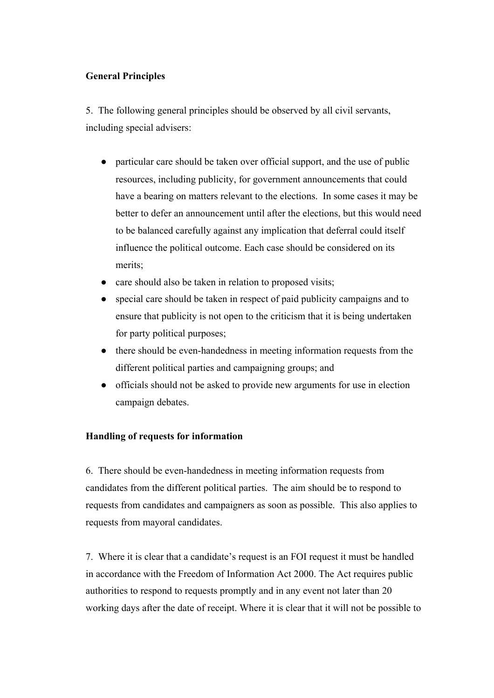## **General Principles**

5. The following general principles should be observed by all civil servants, including special advisers:

- particular care should be taken over official support, and the use of public resources, including publicity, for government announcements that could have a bearing on matters relevant to the elections. In some cases it may be better to defer an announcement until after the elections, but this would need to be balanced carefully against any implication that deferral could itself influence the political outcome. Each case should be considered on its merits;
- care should also be taken in relation to proposed visits;
- special care should be taken in respect of paid publicity campaigns and to ensure that publicity is not open to the criticism that it is being undertaken for party political purposes;
- there should be even-handedness in meeting information requests from the different political parties and campaigning groups; and
- officials should not be asked to provide new arguments for use in election campaign debates.

#### **Handling of requests for information**

6. There should be even-handedness in meeting information requests from candidates from the different political parties. The aim should be to respond to requests from candidates and campaigners as soon as possible. This also applies to requests from mayoral candidates.

7. Where it is clear that a candidate's request is an FOI request it must be handled in accordance with the Freedom of Information Act 2000. The Act requires public authorities to respond to requests promptly and in any event not later than 20 working days after the date of receipt. Where it is clear that it will not be possible to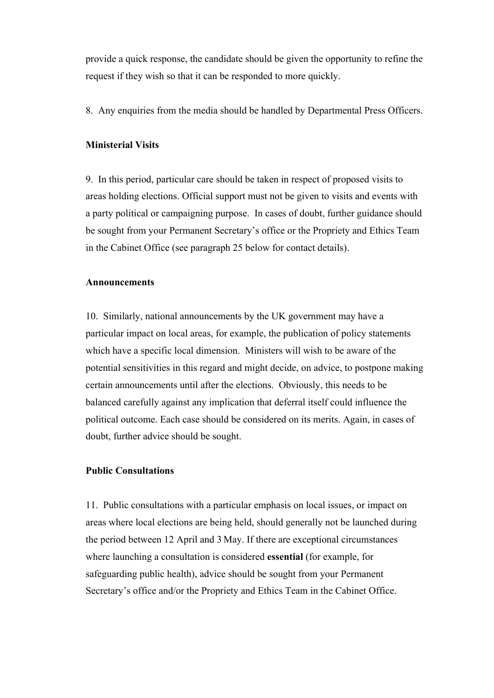provide a quick response, the candidate should be given the opportunity to refine the request if they wish so that it can be responded to more quickly.

8. Any enquiries from the media should be handled by Departmental Press Officers.

## **Ministerial Visits**

9. In this period, particular care should be taken in respect of proposed visits to areas holding elections. Official support must not be given to visits and events with a party political or campaigning purpose. In cases of doubt, further guidance should be sought from your Permanent Secretary's office or the Propriety and Ethics Team in the Cabinet Office (see paragraph 25 below for contact details).

#### **Announcements**

10. Similarly, national announcements by the UK government may have a particular impact on local areas, for example, the publication of policy statements which have a specific local dimension. Ministers will wish to be aware of the potential sensitivities in this regard and might decide, on advice, to postpone making certain announcements until after the elections. Obviously, this needs to be balanced carefully against any implication that deferral itself could influence the political outcome. Each case should be considered on its merits. Again, in cases of doubt, further advice should be sought.

#### **Public Consultations**

11. Public consultations with a particular emphasis on local issues, or impact on areas where local elections are being held, should generally not be launched during the period between 12 April and 3 May. If there are exceptional circumstances where launching a consultation is considered **essential** (for example, for safeguarding public health), advice should be sought from your Permanent Secretary's office and/or the Propriety and Ethics Team in the Cabinet Office.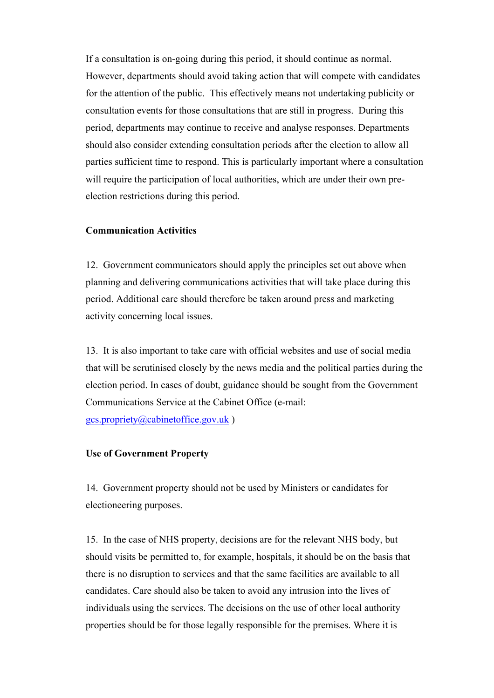If a consultation is on-going during this period, it should continue as normal. However, departments should avoid taking action that will compete with candidates for the attention of the public. This effectively means not undertaking publicity or consultation events for those consultations that are still in progress. During this period, departments may continue to receive and analyse responses. Departments should also consider extending consultation periods after the election to allow all parties sufficient time to respond. This is particularly important where a consultation will require the participation of local authorities, which are under their own preelection restrictions during this period.

#### **Communication Activities**

12. Government communicators should apply the principles set out above when planning and delivering communications activities that will take place during this period. Additional care should therefore be taken around press and marketing activity concerning local issues.

13. It is also important to take care with official websites and use of social media that will be scrutinised closely by the news media and the political parties during the election period. In cases of doubt, guidance should be sought from the Government Communications Service at the Cabinet Office (e-mail:

gcs.propriety@cabinetoffice.gov.uk )

## **Use of Government Property**

14. Government property should not be used by Ministers or candidates for electioneering purposes.

15. In the case of NHS property, decisions are for the relevant NHS body, but should visits be permitted to, for example, hospitals, it should be on the basis that there is no disruption to services and that the same facilities are available to all candidates. Care should also be taken to avoid any intrusion into the lives of individuals using the services. The decisions on the use of other local authority properties should be for those legally responsible for the premises. Where it is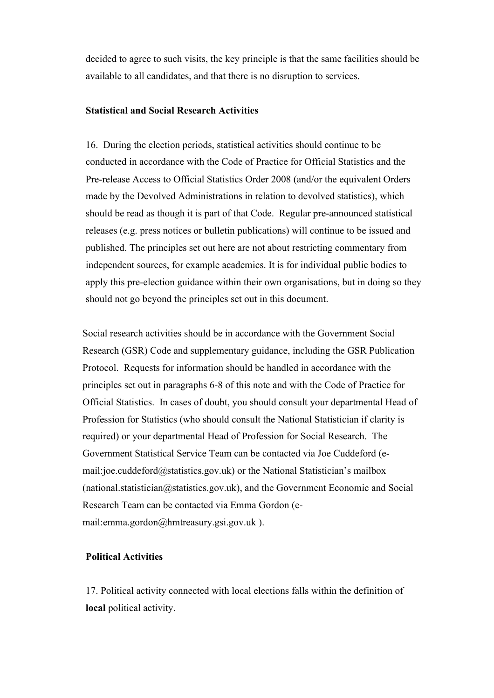decided to agree to such visits, the key principle is that the same facilities should be available to all candidates, and that there is no disruption to services.

#### **Statistical and Social Research Activities**

16. During the election periods, statistical activities should continue to be conducted in accordance with the Code of Practice for Official Statistics and the Pre-release Access to Official Statistics Order 2008 (and/or the equivalent Orders made by the Devolved Administrations in relation to devolved statistics), which should be read as though it is part of that Code. Regular pre-announced statistical releases (e.g. press notices or bulletin publications) will continue to be issued and published. The principles set out here are not about restricting commentary from independent sources, for example academics. It is for individual public bodies to apply this pre-election guidance within their own organisations, but in doing so they should not go beyond the principles set out in this document.

Social research activities should be in accordance with the Government Social Research (GSR) Code and supplementary guidance, including the GSR Publication Protocol. Requests for information should be handled in accordance with the principles set out in paragraphs 6-8 of this note and with the Code of Practice for Official Statistics. In cases of doubt, you should consult your departmental Head of Profession for Statistics (who should consult the National Statistician if clarity is required) or your departmental Head of Profession for Social Research. The Government Statistical Service Team can be contacted via Joe Cuddeford (email:joe.cuddeford@statistics.gov.uk) or the National Statistician's mailbox (national.statistician $@$ statistics.gov.uk), and the Government Economic and Social Research Team can be contacted via Emma Gordon (email:emma.gordon@hmtreasury.gsi.gov.uk ).

#### **Political Activities**

17. Political activity connected with local elections falls within the definition of **local** political activity.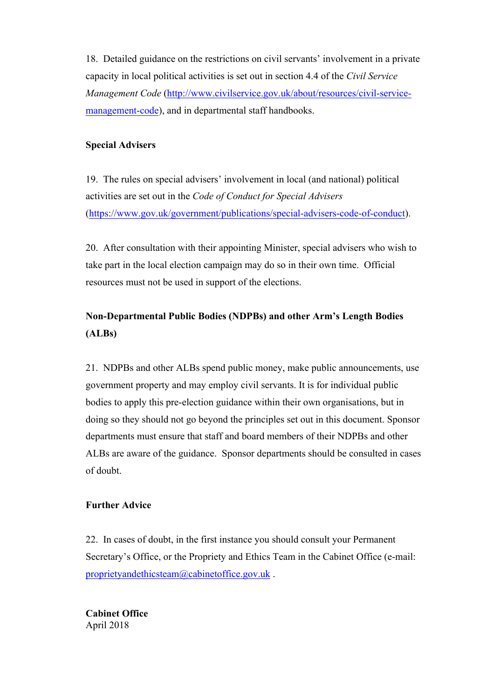18. Detailed guidance on the restrictions on civil servants' involvement in a private capacity in local political activities is set out in section 4.4 of the *Civil Service Management Code* (http://www.civilservice.gov.uk/about/resources/civil-servicemanagement-code), and in departmental staff handbooks.

# **Special Advisers**

19. The rules on special advisers' involvement in local (and national) political activities are set out in the *Code of Conduct for Special Advisers* (https://www.gov.uk/government/publications/special-advisers-code-of-conduct).

20. After consultation with their appointing Minister, special advisers who wish to take part in the local election campaign may do so in their own time. Official resources must not be used in support of the elections.

# **Non-Departmental Public Bodies (NDPBs) and other Arm's Length Bodies (ALBs)**

21. NDPBs and other ALBs spend public money, make public announcements, use government property and may employ civil servants. It is for individual public bodies to apply this pre-election guidance within their own organisations, but in doing so they should not go beyond the principles set out in this document. Sponsor departments must ensure that staff and board members of their NDPBs and other ALBs are aware of the guidance. Sponsor departments should be consulted in cases of doubt.

## **Further Advice**

22. In cases of doubt, in the first instance you should consult your Permanent Secretary's Office, or the Propriety and Ethics Team in the Cabinet Office (e-mail: proprietyandethicsteam@cabinetoffice.gov.uk .

**Cabinet Office** April 2018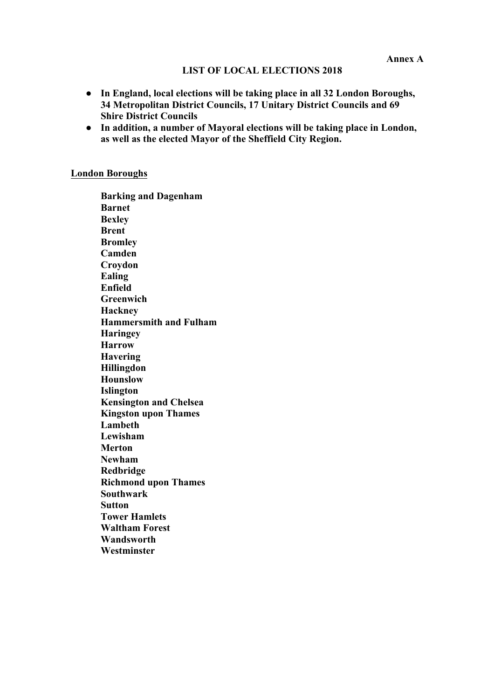#### **LIST OF LOCAL ELECTIONS 2018**

- **In England, local elections will be taking place in all 32 London Boroughs, 34 Metropolitan District Councils, 17 Unitary District Councils and 69 Shire District Councils**
- **In addition, a number of Mayoral elections will be taking place in London, as well as the elected Mayor of the Sheffield City Region.**

#### **London Boroughs**

**Barking and Dagenham Barnet Bexley Brent Bromley Camden Croydon Ealing Enfield Greenwich Hackney Hammersmith and Fulham Haringey Harrow Havering Hillingdon Hounslow Islington Kensington and Chelsea Kingston upon Thames Lambeth Lewisham Merton Newham Redbridge Richmond upon Thames Southwark Sutton Tower Hamlets Waltham Forest Wandsworth Westminster**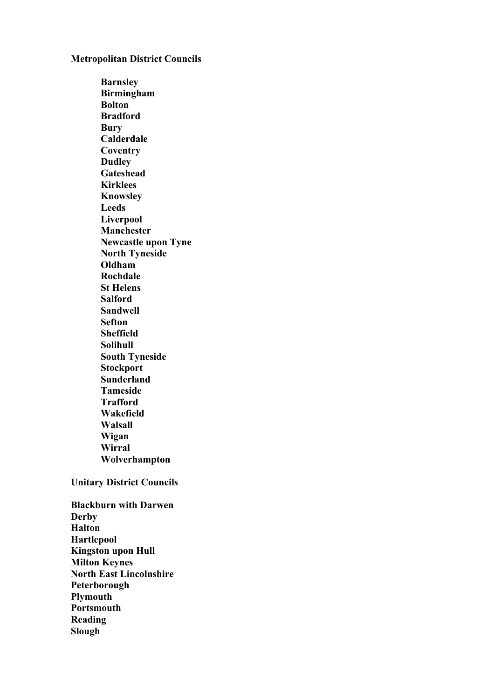#### **Metropolitan District Councils**

**Barnsley Birmingham Bolton Bradford Bury Calderdale Coventry Dudley Gateshead Kirklees Knowsley Leeds Liverpool Manchester Newcastle upon Tyne North Tyneside Oldham Rochdale St Helens Salford Sandwell Sefton Sheffield Solihull South Tyneside Stockport Sunderland Tameside Trafford Wakefield Walsall Wigan Wirral Wolverhampton**

#### **Unitary District Councils**

**Blackburn with Darwen Derby Halton Hartlepool Kingston upon Hull Milton Keynes North East Lincolnshire Peterborough Plymouth Portsmouth Reading Slough**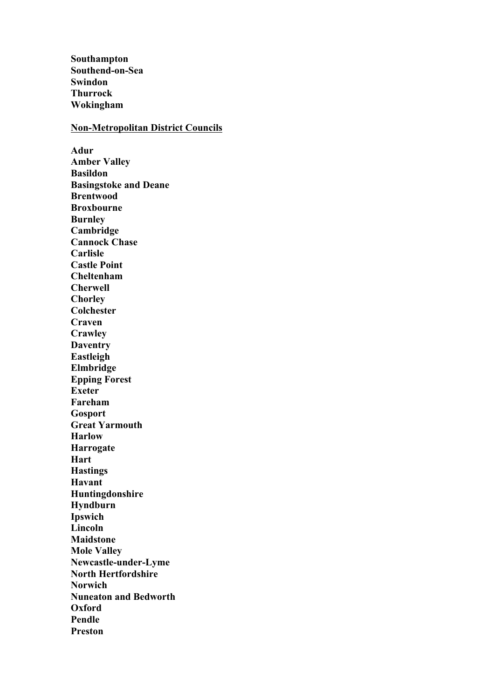**Southampton Southend-on-Sea Swindon Thurrock Wokingham**

#### **Non-Metropolitan District Councils**

**Adur Amber Valley Basildon Basingstoke and Deane Brentwood Broxbourne Burnley Cambridge Cannock Chase Carlisle Castle Point Cheltenham Cherwell Chorley Colchester Craven Crawley Daventry Eastleigh Elmbridge Epping Forest Exeter Fareham Gosport Great Yarmouth Harlow Harrogate Hart Hastings Havant Huntingdonshire Hyndburn Ipswich Lincoln Maidstone Mole Valley Newcastle-under-Lyme North Hertfordshire Norwich Nuneaton and Bedworth Oxford Pendle Preston**